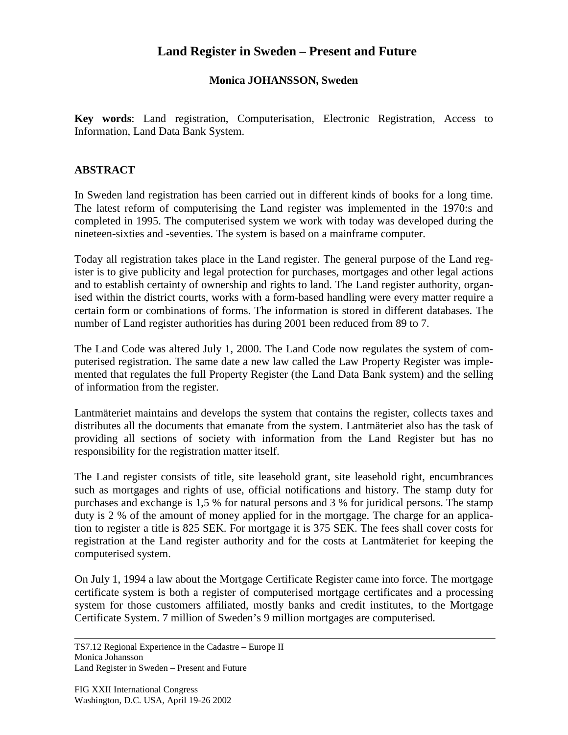## **Land Register in Sweden – Present and Future**

## **Monica JOHANSSON, Sweden**

**Key words**: Land registration, Computerisation, Electronic Registration, Access to Information, Land Data Bank System.

## **ABSTRACT**

In Sweden land registration has been carried out in different kinds of books for a long time. The latest reform of computerising the Land register was implemented in the 1970:s and completed in 1995. The computerised system we work with today was developed during the nineteen-sixties and -seventies. The system is based on a mainframe computer.

Today all registration takes place in the Land register. The general purpose of the Land register is to give publicity and legal protection for purchases, mortgages and other legal actions and to establish certainty of ownership and rights to land. The Land register authority, organised within the district courts, works with a form-based handling were every matter require a certain form or combinations of forms. The information is stored in different databases. The number of Land register authorities has during 2001 been reduced from 89 to 7.

The Land Code was altered July 1, 2000. The Land Code now regulates the system of computerised registration. The same date a new law called the Law Property Register was implemented that regulates the full Property Register (the Land Data Bank system) and the selling of information from the register.

Lantmäteriet maintains and develops the system that contains the register, collects taxes and distributes all the documents that emanate from the system. Lantmäteriet also has the task of providing all sections of society with information from the Land Register but has no responsibility for the registration matter itself.

The Land register consists of title, site leasehold grant, site leasehold right, encumbrances such as mortgages and rights of use, official notifications and history. The stamp duty for purchases and exchange is 1,5 % for natural persons and 3 % for juridical persons. The stamp duty is 2 % of the amount of money applied for in the mortgage. The charge for an application to register a title is 825 SEK. For mortgage it is 375 SEK. The fees shall cover costs for registration at the Land register authority and for the costs at Lantmäteriet for keeping the computerised system.

On July 1, 1994 a law about the Mortgage Certificate Register came into force. The mortgage certificate system is both a register of computerised mortgage certificates and a processing system for those customers affiliated, mostly banks and credit institutes, to the Mortgage Certificate System. 7 million of Sweden's 9 million mortgages are computerised.

TS7.12 Regional Experience in the Cadastre – Europe II Monica Johansson Land Register in Sweden – Present and Future